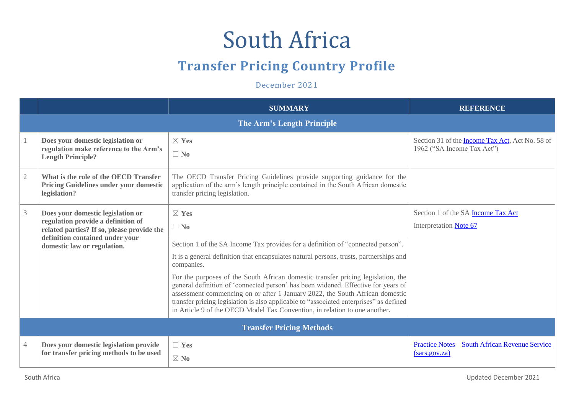## South Africa

## **Transfer Pricing Country Profile**

December 2021

|                |                                                                                                                                                                                         | <b>SUMMARY</b>                                                                                                                                                                                                                                                                                                                                                                                                                | <b>REFERENCE</b>                                                              |  |  |  |
|----------------|-----------------------------------------------------------------------------------------------------------------------------------------------------------------------------------------|-------------------------------------------------------------------------------------------------------------------------------------------------------------------------------------------------------------------------------------------------------------------------------------------------------------------------------------------------------------------------------------------------------------------------------|-------------------------------------------------------------------------------|--|--|--|
|                | The Arm's Length Principle                                                                                                                                                              |                                                                                                                                                                                                                                                                                                                                                                                                                               |                                                                               |  |  |  |
|                | Does your domestic legislation or<br>regulation make reference to the Arm's<br><b>Length Principle?</b>                                                                                 | $\boxtimes$ Yes<br>$\Box$ No                                                                                                                                                                                                                                                                                                                                                                                                  | Section 31 of the Income Tax Act, Act No. 58 of<br>1962 ("SA Income Tax Act") |  |  |  |
| $\mathbf{2}$   | What is the role of the OECD Transfer<br><b>Pricing Guidelines under your domestic</b><br>legislation?                                                                                  | The OECD Transfer Pricing Guidelines provide supporting guidance for the<br>application of the arm's length principle contained in the South African domestic<br>transfer pricing legislation.                                                                                                                                                                                                                                |                                                                               |  |  |  |
| $\mathfrak{Z}$ | Does your domestic legislation or<br>regulation provide a definition of<br>related parties? If so, please provide the<br>definition contained under your<br>domestic law or regulation. | $\boxtimes$ Yes<br>$\Box$ No                                                                                                                                                                                                                                                                                                                                                                                                  | Section 1 of the SA Income Tax Act<br>Interpretation Note 67                  |  |  |  |
|                |                                                                                                                                                                                         | Section 1 of the SA Income Tax provides for a definition of "connected person".<br>It is a general definition that encapsulates natural persons, trusts, partnerships and<br>companies.                                                                                                                                                                                                                                       |                                                                               |  |  |  |
|                |                                                                                                                                                                                         | For the purposes of the South African domestic transfer pricing legislation, the<br>general definition of 'connected person' has been widened. Effective for years of<br>assessment commencing on or after 1 January 2022, the South African domestic<br>transfer pricing legislation is also applicable to "associated enterprises" as defined<br>in Article 9 of the OECD Model Tax Convention, in relation to one another. |                                                                               |  |  |  |
|                |                                                                                                                                                                                         | <b>Transfer Pricing Methods</b>                                                                                                                                                                                                                                                                                                                                                                                               |                                                                               |  |  |  |
| 4              | Does your domestic legislation provide<br>for transfer pricing methods to be used                                                                                                       | $\Box$ Yes                                                                                                                                                                                                                                                                                                                                                                                                                    | <b>Practice Notes – South African Revenue Service</b><br>(sars.gov.za)        |  |  |  |
|                |                                                                                                                                                                                         | $\boxtimes$ No                                                                                                                                                                                                                                                                                                                                                                                                                |                                                                               |  |  |  |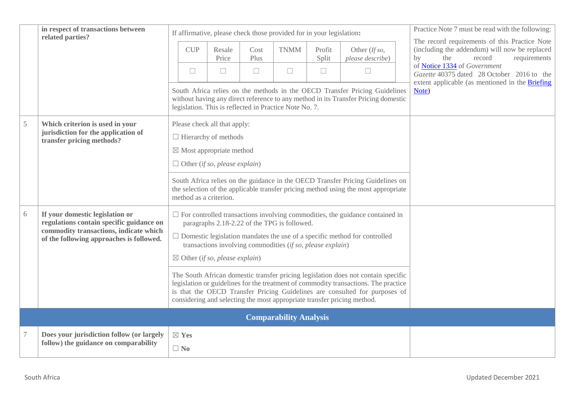|        | in respect of transactions between<br>related parties?                                                                                                            |  |                              |                                                                             |              | If affirmative, please check those provided for in your legislation:                                       |                 |                                                                                                                                                                                                                                                                                                                                   | Practice Note 7 must be read with the following:                                                                                      |
|--------|-------------------------------------------------------------------------------------------------------------------------------------------------------------------|--|------------------------------|-----------------------------------------------------------------------------|--------------|------------------------------------------------------------------------------------------------------------|-----------------|-----------------------------------------------------------------------------------------------------------------------------------------------------------------------------------------------------------------------------------------------------------------------------------------------------------------------------------|---------------------------------------------------------------------------------------------------------------------------------------|
|        |                                                                                                                                                                   |  | <b>CUP</b>                   | Resale<br>Price                                                             | Cost<br>Plus | <b>TNMM</b>                                                                                                | Profit<br>Split | Other (If so,<br>please describe)                                                                                                                                                                                                                                                                                                 | The record requirements of this Practice Note<br>(including the addendum) will now be replaced<br>the<br>record<br>by<br>requirements |
|        |                                                                                                                                                                   |  | $\Box$                       | $\Box$                                                                      | $\Box$       | $\Box$                                                                                                     | $\Box$          | $\Box$                                                                                                                                                                                                                                                                                                                            | of Notice 1334 of Government<br>Gazette 40375 dated 28 October 2016 to the                                                            |
|        |                                                                                                                                                                   |  |                              |                                                                             |              | legislation. This is reflected in Practice Note No. 7.                                                     |                 | South Africa relies on the methods in the OECD Transfer Pricing Guidelines<br>without having any direct reference to any method in its Transfer Pricing domestic                                                                                                                                                                  | extent applicable (as mentioned in the Briefing<br>Note)                                                                              |
| 5      | Which criterion is used in your<br>jurisdiction for the application of<br>transfer pricing methods?                                                               |  |                              | Please check all that apply:<br>$\Box$ Hierarchy of methods                 |              |                                                                                                            |                 |                                                                                                                                                                                                                                                                                                                                   |                                                                                                                                       |
|        |                                                                                                                                                                   |  |                              | $\boxtimes$ Most appropriate method<br>$\Box$ Other (if so, please explain) |              |                                                                                                            |                 |                                                                                                                                                                                                                                                                                                                                   |                                                                                                                                       |
|        |                                                                                                                                                                   |  |                              | method as a criterion.                                                      |              |                                                                                                            |                 | South Africa relies on the guidance in the OECD Transfer Pricing Guidelines on<br>the selection of the applicable transfer pricing method using the most appropriate                                                                                                                                                              |                                                                                                                                       |
| 6      | If your domestic legislation or<br>regulations contain specific guidance on<br>commodity transactions, indicate which<br>of the following approaches is followed. |  |                              | $\boxtimes$ Other (if so, please explain)                                   |              | paragraphs 2.18-2.22 of the TPG is followed.<br>transactions involving commodities (if so, please explain) |                 | $\Box$ For controlled transactions involving commodities, the guidance contained in<br>$\Box$ Domestic legislation mandates the use of a specific method for controlled                                                                                                                                                           |                                                                                                                                       |
|        |                                                                                                                                                                   |  |                              |                                                                             |              |                                                                                                            |                 | The South African domestic transfer pricing legislation does not contain specific<br>legislation or guidelines for the treatment of commodity transactions. The practice<br>is that the OECD Transfer Pricing Guidelines are consulted for purposes of<br>considering and selecting the most appropriate transfer pricing method. |                                                                                                                                       |
|        |                                                                                                                                                                   |  |                              |                                                                             |              | <b>Comparability Analysis</b>                                                                              |                 |                                                                                                                                                                                                                                                                                                                                   |                                                                                                                                       |
| $\tau$ | Does your jurisdiction follow (or largely<br>follow) the guidance on comparability                                                                                |  | $\boxtimes$ Yes<br>$\Box$ No |                                                                             |              |                                                                                                            |                 |                                                                                                                                                                                                                                                                                                                                   |                                                                                                                                       |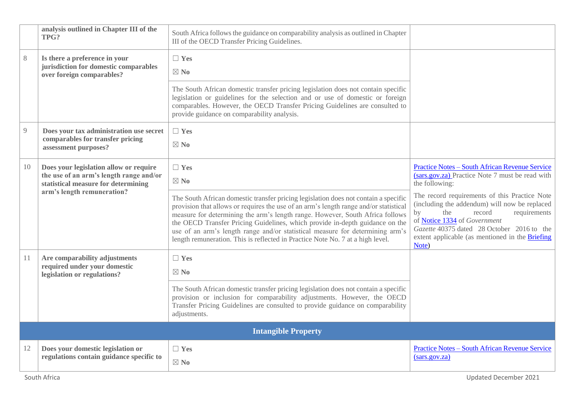|    | analysis outlined in Chapter III of the<br>TPG?                                                                          | South Africa follows the guidance on comparability analysis as outlined in Chapter<br>III of the OECD Transfer Pricing Guidelines.                                                                                                                                                                                                                                                                                                                                                                               |                                                                                                                                                                                                                                                                                 |
|----|--------------------------------------------------------------------------------------------------------------------------|------------------------------------------------------------------------------------------------------------------------------------------------------------------------------------------------------------------------------------------------------------------------------------------------------------------------------------------------------------------------------------------------------------------------------------------------------------------------------------------------------------------|---------------------------------------------------------------------------------------------------------------------------------------------------------------------------------------------------------------------------------------------------------------------------------|
| 8  | Is there a preference in your<br>jurisdiction for domestic comparables<br>over foreign comparables?                      | $\Box$ Yes<br>$\boxtimes$ No                                                                                                                                                                                                                                                                                                                                                                                                                                                                                     |                                                                                                                                                                                                                                                                                 |
|    |                                                                                                                          | The South African domestic transfer pricing legislation does not contain specific<br>legislation or guidelines for the selection and or use of domestic or foreign<br>comparables. However, the OECD Transfer Pricing Guidelines are consulted to<br>provide guidance on comparability analysis.                                                                                                                                                                                                                 |                                                                                                                                                                                                                                                                                 |
| 9  | Does your tax administration use secret<br>comparables for transfer pricing<br>assessment purposes?                      | $\Box$ Yes<br>$\boxtimes$ No                                                                                                                                                                                                                                                                                                                                                                                                                                                                                     |                                                                                                                                                                                                                                                                                 |
| 10 | Does your legislation allow or require<br>the use of an arm's length range and/or<br>statistical measure for determining | $\Box$ Yes<br>$\boxtimes$ No                                                                                                                                                                                                                                                                                                                                                                                                                                                                                     | <b>Practice Notes - South African Revenue Service</b><br>(sars.gov.za) Practice Note 7 must be read with<br>the following:                                                                                                                                                      |
|    | arm's length remuneration?                                                                                               | The South African domestic transfer pricing legislation does not contain a specific<br>provision that allows or requires the use of an arm's length range and/or statistical<br>measure for determining the arm's length range. However, South Africa follows<br>the OECD Transfer Pricing Guidelines, which provide in-depth guidance on the<br>use of an arm's length range and/or statistical measure for determining arm's<br>length remuneration. This is reflected in Practice Note No. 7 at a high level. | The record requirements of this Practice Note<br>(including the addendum) will now be replaced<br>by<br>the<br>requirements<br>record<br>of Notice 1334 of Government<br>Gazette 40375 dated 28 October 2016 to the<br>extent applicable (as mentioned in the Briefing<br>Note) |
| 11 | Are comparability adjustments<br>required under your domestic<br>legislation or regulations?                             | $\Box$ Yes<br>$\boxtimes$ No                                                                                                                                                                                                                                                                                                                                                                                                                                                                                     |                                                                                                                                                                                                                                                                                 |
|    |                                                                                                                          | The South African domestic transfer pricing legislation does not contain a specific<br>provision or inclusion for comparability adjustments. However, the OECD<br>Transfer Pricing Guidelines are consulted to provide guidance on comparability<br>adjustments.                                                                                                                                                                                                                                                 |                                                                                                                                                                                                                                                                                 |
|    |                                                                                                                          | <b>Intangible Property</b>                                                                                                                                                                                                                                                                                                                                                                                                                                                                                       |                                                                                                                                                                                                                                                                                 |
| 12 | Does your domestic legislation or<br>regulations contain guidance specific to                                            | $\Box$ Yes<br>$\boxtimes$ No                                                                                                                                                                                                                                                                                                                                                                                                                                                                                     | <b>Practice Notes - South African Revenue Service</b><br>(sars.gov.za)                                                                                                                                                                                                          |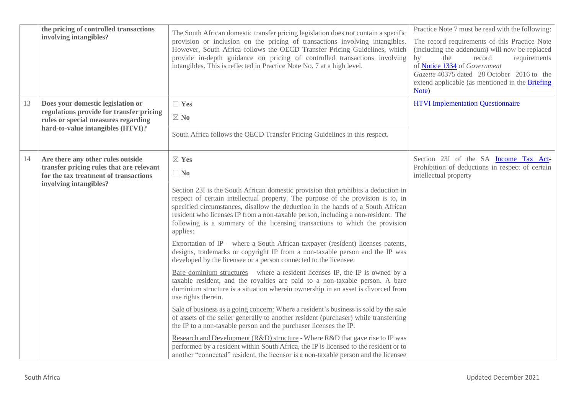|    | the pricing of controlled transactions<br>involving intangibles?                                                                                          | The South African domestic transfer pricing legislation does not contain a specific<br>provision or inclusion on the pricing of transactions involving intangibles.<br>However, South Africa follows the OECD Transfer Pricing Guidelines, which<br>provide in-depth guidance on pricing of controlled transactions involving<br>intangibles. This is reflected in Practice Note No. 7 at a high level.                                                                                                                                                                                                                                                                                                                                                                                                                                                                          | Practice Note 7 must be read with the following:<br>The record requirements of this Practice Note<br>(including the addendum) will now be replaced<br>the<br>$\mathbf{b}$<br>record<br>requirements<br>of Notice 1334 of Government<br>Gazette 40375 dated 28 October 2016 to the<br>extend applicable (as mentioned in the Briefing<br>Note) |
|----|-----------------------------------------------------------------------------------------------------------------------------------------------------------|----------------------------------------------------------------------------------------------------------------------------------------------------------------------------------------------------------------------------------------------------------------------------------------------------------------------------------------------------------------------------------------------------------------------------------------------------------------------------------------------------------------------------------------------------------------------------------------------------------------------------------------------------------------------------------------------------------------------------------------------------------------------------------------------------------------------------------------------------------------------------------|-----------------------------------------------------------------------------------------------------------------------------------------------------------------------------------------------------------------------------------------------------------------------------------------------------------------------------------------------|
| 13 | Does your domestic legislation or<br>regulations provide for transfer pricing<br>rules or special measures regarding<br>hard-to-value intangibles (HTVI)? | $\Box$ Yes<br>$\boxtimes$ No<br>South Africa follows the OECD Transfer Pricing Guidelines in this respect.                                                                                                                                                                                                                                                                                                                                                                                                                                                                                                                                                                                                                                                                                                                                                                       | <b>HTVI Implementation Questionnaire</b>                                                                                                                                                                                                                                                                                                      |
| 14 | Are there any other rules outside<br>transfer pricing rules that are relevant<br>for the tax treatment of transactions<br>involving intangibles?          | $\boxtimes$ Yes<br>$\Box$ No<br>Section 23I is the South African domestic provision that prohibits a deduction in<br>respect of certain intellectual property. The purpose of the provision is to, in<br>specified circumstances, disallow the deduction in the hands of a South African<br>resident who licenses IP from a non-taxable person, including a non-resident. The<br>following is a summary of the licensing transactions to which the provision<br>applies:<br>Exportation of IP – where a South African taxpayer (resident) licenses patents,<br>designs, trademarks or copyright IP from a non-taxable person and the IP was<br>developed by the licensee or a person connected to the licensee.<br>Bare dominium structures – where a resident licenses IP, the IP is owned by a<br>taxable resident, and the royalties are paid to a non-taxable person. A bare | Section 23I of the SA Income Tax Act-<br>Prohibition of deductions in respect of certain<br>intellectual property                                                                                                                                                                                                                             |
|    |                                                                                                                                                           | dominium structure is a situation wherein ownership in an asset is divorced from<br>use rights therein.<br>Sale of business as a going concern: Where a resident's business is sold by the sale<br>of assets of the seller generally to another resident (purchaser) while transferring<br>the IP to a non-taxable person and the purchaser licenses the IP.<br>Research and Development (R&D) structure - Where R&D that gave rise to IP was<br>performed by a resident within South Africa, the IP is licensed to the resident or to<br>another "connected" resident, the licensor is a non-taxable person and the licensee                                                                                                                                                                                                                                                    |                                                                                                                                                                                                                                                                                                                                               |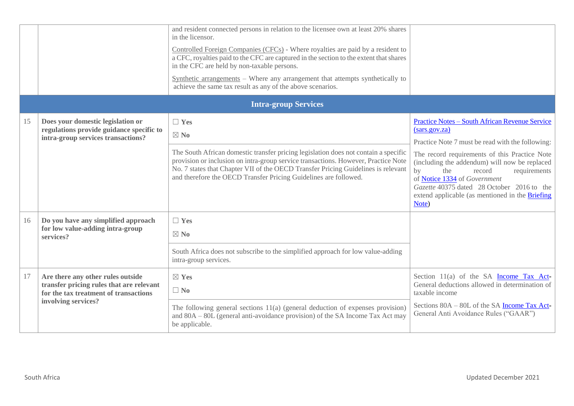|    |                                                                                                                                               | and resident connected persons in relation to the licensee own at least 20% shares<br>in the licensor.<br>Controlled Foreign Companies (CFCs) - Where royalties are paid by a resident to<br>a CFC, royalties paid to the CFC are captured in the section to the extent that shares<br>in the CFC are held by non-taxable persons.<br>Synthetic arrangements - Where any arrangement that attempts synthetically to<br>achieve the same tax result as any of the above scenarios. |                                                                                                                                                                                                                                                                                                                                                                                                               |
|----|-----------------------------------------------------------------------------------------------------------------------------------------------|-----------------------------------------------------------------------------------------------------------------------------------------------------------------------------------------------------------------------------------------------------------------------------------------------------------------------------------------------------------------------------------------------------------------------------------------------------------------------------------|---------------------------------------------------------------------------------------------------------------------------------------------------------------------------------------------------------------------------------------------------------------------------------------------------------------------------------------------------------------------------------------------------------------|
|    |                                                                                                                                               | <b>Intra-group Services</b>                                                                                                                                                                                                                                                                                                                                                                                                                                                       |                                                                                                                                                                                                                                                                                                                                                                                                               |
| 15 | Does your domestic legislation or<br>regulations provide guidance specific to<br>intra-group services transactions?                           | $\Box$ Yes<br>$\boxtimes$ No<br>The South African domestic transfer pricing legislation does not contain a specific<br>provision or inclusion on intra-group service transactions. However, Practice Note<br>No. 7 states that Chapter VII of the OECD Transfer Pricing Guidelines is relevant<br>and therefore the OECD Transfer Pricing Guidelines are followed.                                                                                                                | <b>Practice Notes - South African Revenue Service</b><br>(sars.gov.za)<br>Practice Note 7 must be read with the following:<br>The record requirements of this Practice Note<br>(including the addendum) will now be replaced<br>by<br>the<br>record<br>requirements<br>of Notice 1334 of Government<br>Gazette 40375 dated 28 October 2016 to the<br>extend applicable (as mentioned in the Briefing<br>Note) |
| 16 | Do you have any simplified approach<br>for low value-adding intra-group<br>services?                                                          | $\Box$ Yes<br>$\boxtimes$ No<br>South Africa does not subscribe to the simplified approach for low value-adding<br>intra-group services.                                                                                                                                                                                                                                                                                                                                          |                                                                                                                                                                                                                                                                                                                                                                                                               |
| 17 | Are there any other rules outside<br>transfer pricing rules that are relevant<br>for the tax treatment of transactions<br>involving services? | $\boxtimes$ Yes<br>$\Box$ No<br>The following general sections $11(a)$ (general deduction of expenses provision)<br>and 80A – 80L (general anti-avoidance provision) of the SA Income Tax Act may<br>be applicable.                                                                                                                                                                                                                                                               | Section $11(a)$ of the SA Income Tax Act<br>General deductions allowed in determination of<br>taxable income<br>Sections 80A – 80L of the SA Income Tax Act-<br>General Anti Avoidance Rules ("GAAR")                                                                                                                                                                                                         |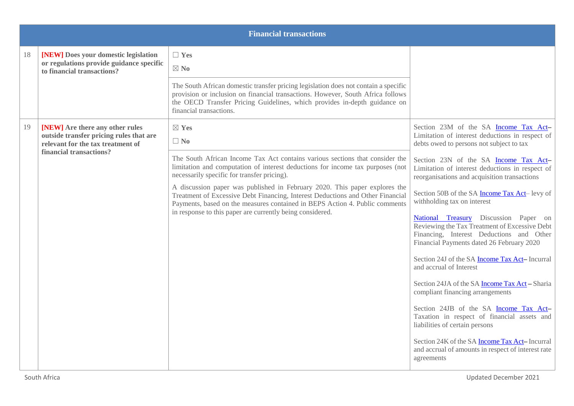|    |                                                                                                                 | <b>Financial transactions</b>                                                                                                                                                                                                                                                  |                                                                                                                                                                                 |
|----|-----------------------------------------------------------------------------------------------------------------|--------------------------------------------------------------------------------------------------------------------------------------------------------------------------------------------------------------------------------------------------------------------------------|---------------------------------------------------------------------------------------------------------------------------------------------------------------------------------|
| 18 | [NEW] Does your domestic legislation<br>or regulations provide guidance specific<br>to financial transactions?  | $\Box$ Yes<br>$\boxtimes$ No                                                                                                                                                                                                                                                   |                                                                                                                                                                                 |
|    |                                                                                                                 | The South African domestic transfer pricing legislation does not contain a specific<br>provision or inclusion on financial transactions. However, South Africa follows<br>the OECD Transfer Pricing Guidelines, which provides in-depth guidance on<br>financial transactions. |                                                                                                                                                                                 |
| 19 | [NEW] Are there any other rules<br>outside transfer pricing rules that are<br>relevant for the tax treatment of | $\boxtimes$ Yes<br>$\Box$ No                                                                                                                                                                                                                                                   | Section 23M of the SA Income Tax Act-<br>Limitation of interest deductions in respect of<br>debts owed to persons not subject to tax                                            |
|    | financial transactions?                                                                                         | The South African Income Tax Act contains various sections that consider the<br>limitation and computation of interest deductions for income tax purposes (not<br>necessarily specific for transfer pricing).                                                                  | Section 23N of the SA Income Tax Act-<br>Limitation of interest deductions in respect of<br>reorganisations and acquisition transactions                                        |
|    |                                                                                                                 | A discussion paper was published in February 2020. This paper explores the<br>Treatment of Excessive Debt Financing, Interest Deductions and Other Financial<br>Payments, based on the measures contained in BEPS Action 4. Public comments                                    | Section 50B of the SA <b>Income Tax Act</b> -levy of<br>withholding tax on interest                                                                                             |
|    |                                                                                                                 | in response to this paper are currently being considered.                                                                                                                                                                                                                      | National Treasury Discussion Paper on<br>Reviewing the Tax Treatment of Excessive Debt<br>Financing, Interest Deductions and Other<br>Financial Payments dated 26 February 2020 |
|    |                                                                                                                 |                                                                                                                                                                                                                                                                                | Section 24J of the SA <b>Income Tax Act-</b> Incurral<br>and accrual of Interest                                                                                                |
|    |                                                                                                                 |                                                                                                                                                                                                                                                                                | Section 24JA of the SA <b>Income Tax Act</b> - Sharia<br>compliant financing arrangements                                                                                       |
|    |                                                                                                                 |                                                                                                                                                                                                                                                                                | Section 24JB of the SA Income Tax Act-<br>Taxation in respect of financial assets and<br>liabilities of certain persons                                                         |
|    |                                                                                                                 |                                                                                                                                                                                                                                                                                | Section 24K of the SA <b>Income Tax Act</b> -Incurral<br>and accrual of amounts in respect of interest rate<br>agreements                                                       |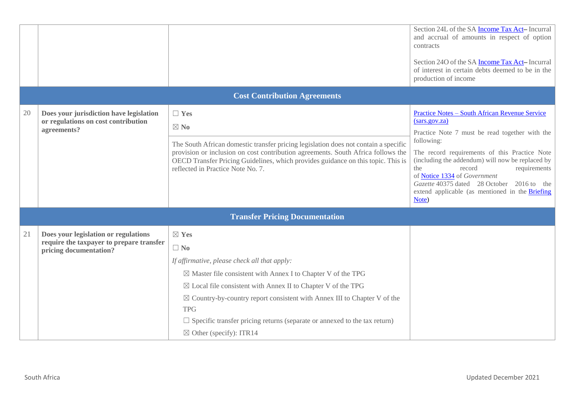|    |                                                                                                            |                                                                                                                                                                                                                                                                                                                                                                                                                                                                   | Section 24L of the SA Income Tax Act-Incurral<br>and accrual of amounts in respect of option<br>contracts<br>Section 240 of the SA <b>Income Tax Act-</b> Incurral<br>of interest in certain debts deemed to be in the<br>production of income                                                                                                                                                                         |
|----|------------------------------------------------------------------------------------------------------------|-------------------------------------------------------------------------------------------------------------------------------------------------------------------------------------------------------------------------------------------------------------------------------------------------------------------------------------------------------------------------------------------------------------------------------------------------------------------|------------------------------------------------------------------------------------------------------------------------------------------------------------------------------------------------------------------------------------------------------------------------------------------------------------------------------------------------------------------------------------------------------------------------|
|    |                                                                                                            | <b>Cost Contribution Agreements</b>                                                                                                                                                                                                                                                                                                                                                                                                                               |                                                                                                                                                                                                                                                                                                                                                                                                                        |
| 20 | Does your jurisdiction have legislation<br>or regulations on cost contribution<br>agreements?              | $\Box$ Yes<br>$\boxtimes$ No<br>The South African domestic transfer pricing legislation does not contain a specific<br>provision or inclusion on cost contribution agreements. South Africa follows the<br>OECD Transfer Pricing Guidelines, which provides guidance on this topic. This is<br>reflected in Practice Note No. 7.                                                                                                                                  | <b>Practice Notes - South African Revenue Service</b><br>(sars.gov.za)<br>Practice Note 7 must be read together with the<br>following:<br>The record requirements of this Practice Note<br>(including the addendum) will now be replaced by<br>the<br>record<br>requirements<br>of Notice 1334 of Government<br>Gazette 40375 dated 28 October 2016 to the<br>extend applicable (as mentioned in the Briefing<br>Note) |
|    |                                                                                                            | <b>Transfer Pricing Documentation</b>                                                                                                                                                                                                                                                                                                                                                                                                                             |                                                                                                                                                                                                                                                                                                                                                                                                                        |
| 21 | Does your legislation or regulations<br>require the taxpayer to prepare transfer<br>pricing documentation? | $\boxtimes$ Yes<br>$\Box$ No<br>If affirmative, please check all that apply:<br>$\boxtimes$ Master file consistent with Annex I to Chapter V of the TPG<br>$\boxtimes$ Local file consistent with Annex II to Chapter V of the TPG<br>$\boxtimes$ Country-by-country report consistent with Annex III to Chapter V of the<br><b>TPG</b><br>$\Box$ Specific transfer pricing returns (separate or annexed to the tax return)<br>$\boxtimes$ Other (specify): ITR14 |                                                                                                                                                                                                                                                                                                                                                                                                                        |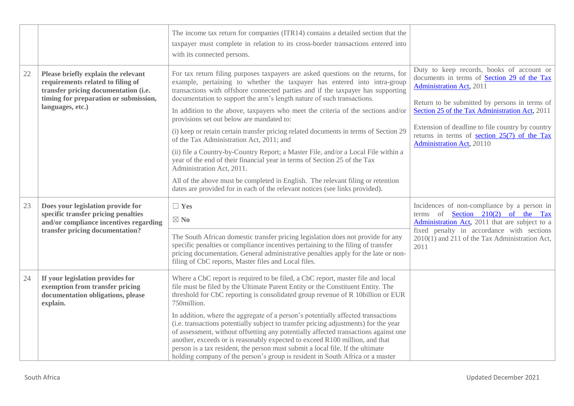|        |                                                                                                                                                                               | The income tax return for companies (ITR14) contains a detailed section that the<br>taxpayer must complete in relation to its cross-border transactions entered into<br>with its connected persons.                                                                                                                                                                                                                                                                                                                                                                                                                                                                                                                                                                                                                                                                                                                                                               |                                                                                                                                                                                                                                                                                                                                                                         |
|--------|-------------------------------------------------------------------------------------------------------------------------------------------------------------------------------|-------------------------------------------------------------------------------------------------------------------------------------------------------------------------------------------------------------------------------------------------------------------------------------------------------------------------------------------------------------------------------------------------------------------------------------------------------------------------------------------------------------------------------------------------------------------------------------------------------------------------------------------------------------------------------------------------------------------------------------------------------------------------------------------------------------------------------------------------------------------------------------------------------------------------------------------------------------------|-------------------------------------------------------------------------------------------------------------------------------------------------------------------------------------------------------------------------------------------------------------------------------------------------------------------------------------------------------------------------|
| $22\,$ | Please briefly explain the relevant<br>requirements related to filing of<br>transfer pricing documentation (i.e.<br>timing for preparation or submission,<br>languages, etc.) | For tax return filing purposes taxpayers are asked questions on the returns, for<br>example, pertaining to whether the taxpayer has entered into intra-group<br>transactions with offshore connected parties and if the taxpayer has supporting<br>documentation to support the arm's length nature of such transactions.<br>In addition to the above, taxpayers who meet the criteria of the sections and/or<br>provisions set out below are mandated to:<br>(i) keep or retain certain transfer pricing related documents in terms of Section 29<br>of the Tax Administration Act, 2011; and<br>(ii) file a Country-by-Country Report; a Master File, and/or a Local File within a<br>year of the end of their financial year in terms of Section 25 of the Tax<br>Administration Act, 2011.<br>All of the above must be completed in English. The relevant filing or retention<br>dates are provided for in each of the relevant notices (see links provided). | Duty to keep records, books of account or<br>documents in terms of Section 29 of the Tax<br><b>Administration Act</b> , 2011<br>Return to be submitted by persons in terms of<br>Section 25 of the Tax Administration Act, 2011<br>Extension of deadline to file country by country<br>returns in terms of <u>section 25(7)</u> of the Tax<br>Administration Act, 20110 |
| 23     | Does your legislation provide for<br>specific transfer pricing penalties<br>and/or compliance incentives regarding<br>transfer pricing documentation?                         | $\Box$ Yes<br>$\boxtimes$ No<br>The South African domestic transfer pricing legislation does not provide for any<br>specific penalties or compliance incentives pertaining to the filing of transfer<br>pricing documentation. General administrative penalties apply for the late or non-<br>filing of CbC reports, Master files and Local files.                                                                                                                                                                                                                                                                                                                                                                                                                                                                                                                                                                                                                | Incidences of non-compliance by a person in<br>terms of <b>Section</b> 210(2) of the Tax<br>Administration Act, 2011 that are subject to a<br>fixed penalty in accordance with sections<br>2010(1) and 211 of the Tax Administration Act,<br>2011                                                                                                                       |
| 24     | If your legislation provides for<br>exemption from transfer pricing<br>documentation obligations, please<br>explain.                                                          | Where a CbC report is required to be filed, a CbC report, master file and local<br>file must be filed by the Ultimate Parent Entity or the Constituent Entity. The<br>threshold for CbC reporting is consolidated group revenue of R 10billion or EUR<br>750million.<br>In addition, where the aggregate of a person's potentially affected transactions<br>(i.e. transactions potentially subject to transfer pricing adjustments) for the year<br>of assessment, without offsetting any potentially affected transactions against one<br>another, exceeds or is reasonably expected to exceed R100 million, and that<br>person is a tax resident, the person must submit a local file. If the ultimate<br>holding company of the person's group is resident in South Africa or a master                                                                                                                                                                         |                                                                                                                                                                                                                                                                                                                                                                         |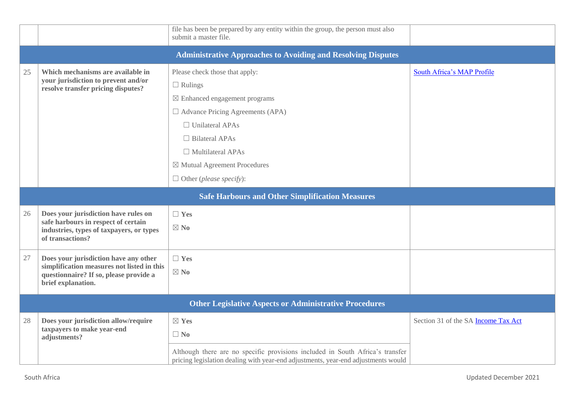|    |                                                                                                                                                     | file has been be prepared by any entity within the group, the person must also<br>submit a master file.                                                            |                                            |  |  |
|----|-----------------------------------------------------------------------------------------------------------------------------------------------------|--------------------------------------------------------------------------------------------------------------------------------------------------------------------|--------------------------------------------|--|--|
|    |                                                                                                                                                     | <b>Administrative Approaches to Avoiding and Resolving Disputes</b>                                                                                                |                                            |  |  |
| 25 | Which mechanisms are available in<br>your jurisdiction to prevent and/or<br>resolve transfer pricing disputes?                                      | Please check those that apply:<br>$\Box$ Rulings                                                                                                                   | South Africa's MAP Profile                 |  |  |
|    |                                                                                                                                                     | $\boxtimes$ Enhanced engagement programs<br>$\Box$ Advance Pricing Agreements (APA)<br>$\Box$ Unilateral APAs                                                      |                                            |  |  |
|    |                                                                                                                                                     | $\Box$ Bilateral APAs<br>$\Box$ Multilateral APAs                                                                                                                  |                                            |  |  |
|    |                                                                                                                                                     | $\boxtimes$ Mutual Agreement Procedures<br>$\Box$ Other (please specify):                                                                                          |                                            |  |  |
|    | <b>Safe Harbours and Other Simplification Measures</b>                                                                                              |                                                                                                                                                                    |                                            |  |  |
| 26 | Does your jurisdiction have rules on<br>safe harbours in respect of certain<br>industries, types of taxpayers, or types<br>of transactions?         | $\Box$ Yes<br>$\boxtimes$ No                                                                                                                                       |                                            |  |  |
| 27 | Does your jurisdiction have any other<br>simplification measures not listed in this<br>questionnaire? If so, please provide a<br>brief explanation. | $\Box$ Yes<br>$\boxtimes$ No                                                                                                                                       |                                            |  |  |
|    |                                                                                                                                                     | <b>Other Legislative Aspects or Administrative Procedures</b>                                                                                                      |                                            |  |  |
| 28 | Does your jurisdiction allow/require<br>taxpayers to make year-end<br>adjustments?                                                                  | $\boxtimes$ Yes<br>$\Box$ No                                                                                                                                       | Section 31 of the SA <b>Income Tax Act</b> |  |  |
|    |                                                                                                                                                     | Although there are no specific provisions included in South Africa's transfer<br>pricing legislation dealing with year-end adjustments, year-end adjustments would |                                            |  |  |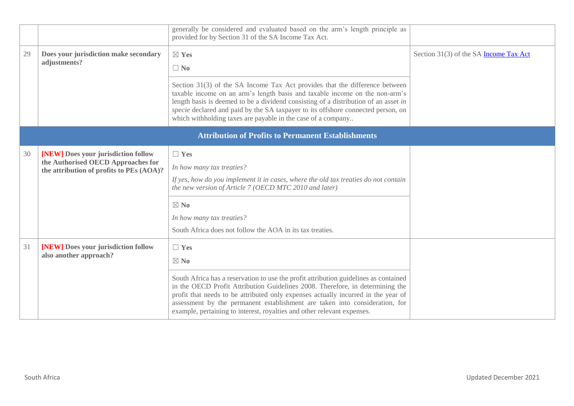|    |                                                                                | generally be considered and evaluated based on the arm's length principle as<br>provided for by Section 31 of the SA Income Tax Act.                                                                                                                                                                                                                                                                                 |                                               |
|----|--------------------------------------------------------------------------------|----------------------------------------------------------------------------------------------------------------------------------------------------------------------------------------------------------------------------------------------------------------------------------------------------------------------------------------------------------------------------------------------------------------------|-----------------------------------------------|
| 29 | Does your jurisdiction make secondary<br>adjustments?                          | $\boxtimes$ Yes                                                                                                                                                                                                                                                                                                                                                                                                      | Section 31(3) of the SA <b>Income Tax Act</b> |
|    |                                                                                | $\Box$ No                                                                                                                                                                                                                                                                                                                                                                                                            |                                               |
|    |                                                                                | Section 31(3) of the SA Income Tax Act provides that the difference between<br>taxable income on an arm's length basis and taxable income on the non-arm's<br>length basis is deemed to be a dividend consisting of a distribution of an asset in<br>specie declared and paid by the SA taxpayer to its offshore connected person, on<br>which withholding taxes are payable in the case of a company                |                                               |
|    |                                                                                | <b>Attribution of Profits to Permanent Establishments</b>                                                                                                                                                                                                                                                                                                                                                            |                                               |
| 30 | [NEW] Does your jurisdiction follow                                            | $\Box$ Yes                                                                                                                                                                                                                                                                                                                                                                                                           |                                               |
|    | the Authorised OECD Approaches for<br>the attribution of profits to PEs (AOA)? | In how many tax treaties?                                                                                                                                                                                                                                                                                                                                                                                            |                                               |
|    |                                                                                | If yes, how do you implement it in cases, where the old tax treaties do not contain<br>the new version of Article 7 (OECD MTC 2010 and later)                                                                                                                                                                                                                                                                        |                                               |
|    |                                                                                | $\boxtimes$ No                                                                                                                                                                                                                                                                                                                                                                                                       |                                               |
|    |                                                                                | In how many tax treaties?                                                                                                                                                                                                                                                                                                                                                                                            |                                               |
|    |                                                                                | South Africa does not follow the AOA in its tax treaties.                                                                                                                                                                                                                                                                                                                                                            |                                               |
| 31 | [NEW] Does your jurisdiction follow                                            | $\Box$ Yes                                                                                                                                                                                                                                                                                                                                                                                                           |                                               |
|    | also another approach?                                                         | $\boxtimes$ No                                                                                                                                                                                                                                                                                                                                                                                                       |                                               |
|    |                                                                                | South Africa has a reservation to use the profit attribution guidelines as contained<br>in the OECD Profit Attribution Guidelines 2008. Therefore, in determining the<br>profit that needs to be attributed only expenses actually incurred in the year of<br>assessment by the permanent establishment are taken into consideration, for<br>example, pertaining to interest, royalties and other relevant expenses. |                                               |